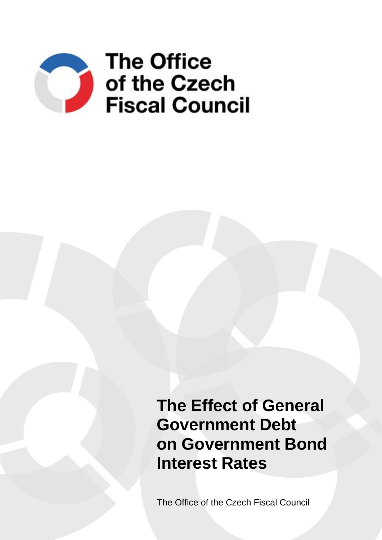

**The Effect of General Government Debt on Government Bond Interest Rates**

The Office of the Czech Fiscal Council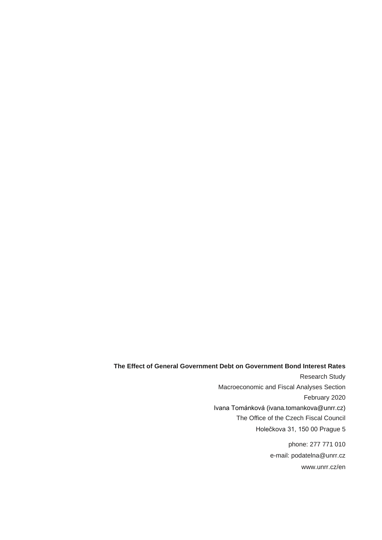### **The Effect of General Government Debt on Government Bond Interest Rates**

Research Study Macroeconomic and Fiscal Analyses Section February 2020 Ivana Tománková (ivana.tomankova@unrr.cz) The Office of the Czech Fiscal Council Holečkova 31, 150 00 Prague 5

> phone: 277 771 010 e-mail: podatelna@unrr.cz www.unrr.cz/en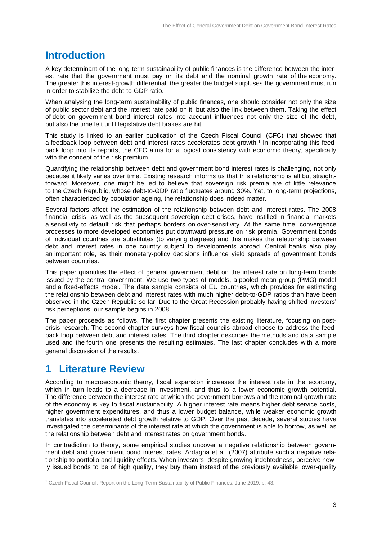# **Introduction**

A key determinant of the long-term sustainability of public finances is the difference between the interest rate that the government must pay on its debt and the nominal growth rate of the economy. The greater this interest-growth differential, the greater the budget surpluses the government must run in order to stabilize the debt-to-GDP ratio.

When analysing the long-term sustainability of public finances, one should consider not only the size of public sector debt and the interest rate paid on it, but also the link between them. Taking the effect of debt on government bond interest rates into account influences not only the size of the debt, but also the time left until legislative debt brakes are hit.

This study is linked to an earlier publication of the Czech Fiscal Council (CFC) that showed that a feedback loop between debt and interest rates accelerates debt growth.<sup>1</sup> In incorporating this feedback loop into its reports, the CFC aims for a logical consistency with economic theory, specifically with the concept of the risk premium.

Quantifying the relationship between debt and government bond interest rates is challenging, not only because it likely varies over time. Existing research informs us that this relationship is all but straightforward. Moreover, one might be led to believe that sovereign risk premia are of little relevance to the Czech Republic, whose debt-to-GDP ratio fluctuates around 30%. Yet, to long-term projections, often characterized by population ageing, the relationship does indeed matter.

Several factors affect the estimation of the relationship between debt and interest rates. The 2008 financial crisis, as well as the subsequent sovereign debt crises, have instilled in financial markets a sensitivity to default risk that perhaps borders on over-sensitivity. At the same time, convergence processes to more developed economies put downward pressure on risk premia. Government bonds of individual countries are substitutes (to varying degrees) and this makes the relationship between debt and interest rates in one country subject to developments abroad. Central banks also play an important role, as their monetary-policy decisions influence yield spreads of government bonds between countries.

This paper quantifies the effect of general government debt on the interest rate on long-term bonds issued by the central government. We use two types of models, a pooled mean group (PMG) model and a fixed-effects model. The data sample consists of EU countries, which provides for estimating the relationship between debt and interest rates with much higher debt-to-GDP ratios than have been observed in the Czech Republic so far. Due to the Great Recession probably having shifted investors' risk perceptions, our sample begins in 2008.

The paper proceeds as follows. The first chapter presents the existing literature, focusing on postcrisis research. The second chapter surveys how fiscal councils abroad choose to address the feedback loop between debt and interest rates. The third chapter describes the methods and data sample used and the fourth one presents the resulting estimates. The last chapter concludes with a more general discussion of the results.

# **1 Literature Review**

According to macroeconomic theory, fiscal expansion increases the interest rate in the economy, which in turn leads to a decrease in investment, and thus to a lower economic growth potential. The difference between the interest rate at which the government borrows and the nominal growth rate of the economy is key to fiscal sustainability. A higher interest rate means higher debt service costs, higher government expenditures, and thus a lower budget balance, while weaker economic growth translates into accelerated debt growth relative to GDP. Over the past decade, several studies have investigated the determinants of the interest rate at which the government is able to borrow, as well as the relationship between debt and interest rates on government bonds.

In contradiction to theory, some empirical studies uncover a negative relationship between government debt and government bond interest rates. Ardagna et al. (2007) attribute such a negative relationship to portfolio and liquidity effects. When investors, despite growing indebtedness, perceive newly issued bonds to be of high quality, they buy them instead of the previously available lower-quality

<sup>1</sup> Czech Fiscal Council: Report on the Long-Term Sustainability of Public Finances, June 2019, p. 43.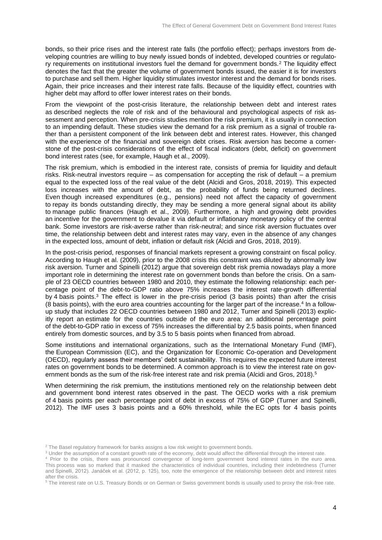bonds, so their price rises and the interest rate falls (the portfolio effect); perhaps investors from developing countries are willing to buy newly issued bonds of indebted, developed countries or regulatory requirements on institutional investors fuel the demand for government bonds.<sup>2</sup> The liquidity effect denotes the fact that the greater the volume of government bonds issued, the easier it is for investors to purchase and sell them. Higher liquidity stimulates investor interest and the demand for bonds rises. Again, their price increases and their interest rate falls. Because of the liquidity effect, countries with higher debt may afford to offer lower interest rates on their bonds.

From the viewpoint of the post-crisis literature, the relationship between debt and interest rates as described neglects the role of risk and of the behavioural and psychological aspects of risk assessment and perception. When pre-crisis studies mention the risk premium, it is usually in connection to an impending default. These studies view the demand for a risk premium as a signal of trouble rather than a persistent component of the link between debt and interest rates. However, this changed with the experience of the financial and sovereign debt crises. Risk aversion has become a cornerstone of the post-crisis considerations of the effect of fiscal indicators (debt, deficit) on government bond interest rates (see, for example, Haugh et al., 2009).

The risk premium, which is embodied in the interest rate, consists of premia for liquidity and default risks. Risk-neutral investors require – as compensation for accepting the risk of default – a premium equal to the expected loss of the real value of the debt (Alcidi and Gros, 2018, 2019). This expected loss increases with the amount of debt, as the probability of funds being returned declines. Even though increased expenditures (e.g., pensions) need not affect the capacity of government to repay its bonds outstanding directly, they may be sending a more general signal about its ability to manage public finances (Haugh et al., 2009). Furthermore, a high and growing debt provides an incentive for the government to devalue it via default or inflationary monetary policy of the central bank. Some investors are risk-averse rather than risk-neutral; and since risk aversion fluctuates over time, the relationship between debt and interest rates may vary, even in the absence of any changes in the expected loss, amount of debt, inflation or default risk (Alcidi and Gros, 2018, 2019).

In the post-crisis period, responses of financial markets represent a growing constraint on fiscal policy. According to Haugh et al. (2009), prior to the 2008 crisis this constraint was diluted by abnormally low risk aversion. Turner and Spinelli (2012) argue that sovereign debt risk premia nowadays play a more important role in determining the interest rate on government bonds than before the crisis. On a sample of 23 OECD countries between 1980 and 2010, they estimate the following relationship: each percentage point of the debt-to-GDP ratio above 75% increases the interest rate-growth differential by 4 basis points.<sup>3</sup> The effect is lower in the pre-crisis period (3 basis points) than after the crisis (8 basis points), with the euro area countries accounting for the larger part of the increase.<sup>4</sup> In a followup study that includes 22 OECD countries between 1980 and 2012, Turner and Spinelli (2013) explicitly report an estimate for the countries outside of the euro area: an additional percentage point of the debt-to-GDP ratio in excess of 75% increases the differential by 2.5 basis points, when financed entirely from domestic sources, and by 3.5 to 5 basis points when financed from abroad.

Some institutions and international organizations, such as the International Monetary Fund (IMF), the European Commission (EC), and the Organization for Economic Co-operation and Development (OECD), regularly assess their members' debt sustainability. This requires the expected future interest rates on government bonds to be determined. A common approach is to view the interest rate on government bonds as the sum of the risk-free interest rate and risk premia (Alcidi and Gros, 2018).<sup>5</sup>

When determining the risk premium, the institutions mentioned rely on the relationship between debt and government bond interest rates observed in the past. The OECD works with a risk premium of 4 basis points per each percentage point of debt in excess of 75% of GDP (Turner and Spinelli, 2012). The IMF uses 3 basis points and a 60% threshold, while the EC opts for 4 basis points

<sup>&</sup>lt;sup>2</sup> The Basel regulatory framework for banks assigns a low risk weight to government bonds.

<sup>&</sup>lt;sup>3</sup> Under the assumption of a constant growth rate of the economy, debt would affect the differential through the interest rate.

<sup>4</sup> Prior to the crisis, there was pronounced convergence of long-term government bond interest rates in the euro area. This process was so marked that it masked the characteristics of individual countries, including their indebtedness (Turner and Spinelli, 2012). Janáček et al. (2012, p. 125), too, note the emergence of the relationship between debt and interest rates after the crisis.

<sup>&</sup>lt;sup>5</sup> The interest rate on U.S. Treasury Bonds or on German or Swiss government bonds is usually used to proxy the risk-free rate.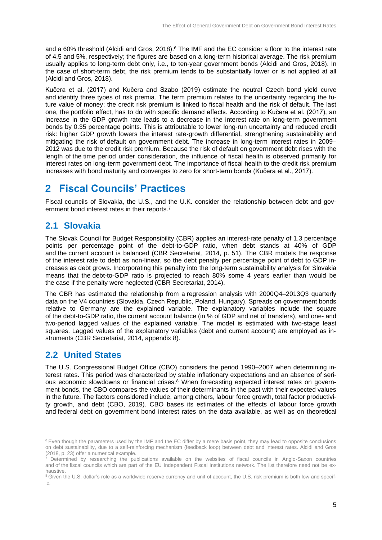and a 60% threshold (Alcidi and Gros, 2018).<sup>6</sup> The IMF and the EC consider a floor to the interest rate of 4.5 and 5%, respectively; the figures are based on a long-term historical average. The risk premium usually applies to long-term debt only, i.e., to ten-year government bonds (Alcidi and Gros, 2018). In the case of short-term debt, the risk premium tends to be substantially lower or is not applied at all (Alcidi and Gros, 2018).

Kučera et al. (2017) and Kučera and Szabo (2019) estimate the neutral Czech bond yield curve and identify three types of risk premia. The term premium relates to the uncertainty regarding the future value of money; the credit risk premium is linked to fiscal health and the risk of default. The last one, the portfolio effect, has to do with specific demand effects. According to Kučera et al. (2017), an increase in the GDP growth rate leads to a decrease in the interest rate on long-term government bonds by 0.35 percentage points. This is attributable to lower long-run uncertainty and reduced credit risk: higher GDP growth lowers the interest rate-growth differential, strengthening sustainability and mitigating the risk of default on government debt. The increase in long-term interest rates in 2009– 2012 was due to the credit risk premium. Because the risk of default on government debt rises with the length of the time period under consideration, the influence of fiscal health is observed primarily for interest rates on long-term government debt. The importance of fiscal health to the credit risk premium increases with bond maturity and converges to zero for short-term bonds (Kučera et al., 2017).

# **2 Fiscal Councils' Practices**

Fiscal councils of Slovakia, the U.S., and the U.K. consider the relationship between debt and government bond interest rates in their reports.<sup>7</sup>

# **2.1 Slovakia**

The Slovak Council for Budget Responsibility (CBR) applies an interest-rate penalty of 1.3 percentage points per percentage point of the debt-to-GDP ratio, when debt stands at 40% of GDP and the current account is balanced (CBR Secretariat, 2014, p. 51). The CBR models the response of the interest rate to debt as non-linear, so the debt penalty per percentage point of debt to GDP increases as debt grows. Incorporating this penalty into the long-term sustainability analysis for Slovakia means that the debt-to-GDP ratio is projected to reach 80% some 4 years earlier than would be the case if the penalty were neglected (CBR Secretariat, 2014).

The CBR has estimated the relationship from a regression analysis with 2000Q4–2013Q3 quarterly data on the V4 countries (Slovakia, Czech Republic, Poland, Hungary). Spreads on government bonds relative to Germany are the explained variable. The explanatory variables include the square of the debt-to-GDP ratio, the current account balance (in % of GDP and net of transfers), and one- and two-period lagged values of the explained variable. The model is estimated with two-stage least squares. Lagged values of the explanatory variables (debt and current account) are employed as instruments (CBR Secretariat, 2014, appendix 8).

# **2.2 United States**

The U.S. Congressional Budget Office (CBO) considers the period 1990–2007 when determining interest rates. This period was characterized by stable inflationary expectations and an absence of serious economic slowdowns or financial crises.<sup>8</sup> When forecasting expected interest rates on government bonds, the CBO compares the values of their determinants in the past with their expected values in the future. The factors considered include, among others, labour force growth, total factor productivity growth, and debt (CBO, 2019). CBO bases its estimates of the effects of labour force growth and federal debt on government bond interest rates on the data available, as well as on theoretical

<sup>&</sup>lt;sup>6</sup> Even though the parameters used by the IMF and the EC differ by a mere basis point, they may lead to opposite conclusions on debt sustainability, due to a self-reinforcing mechanism (feedback loop) between debt and interest rates. Alcidi and Gros (2018, p. 23) offer a numerical example.

<sup>7</sup> Determined by researching the publications available on the websites of fiscal councils in Anglo-Saxon countries and of the fiscal councils which are part of the EU Independent Fiscal Institutions network. The list therefore need not be exhaustive.

<sup>&</sup>lt;sup>8</sup> Given the U.S. dollar's role as a worldwide reserve currency and unit of account, the U.S. risk premium is both low and specific.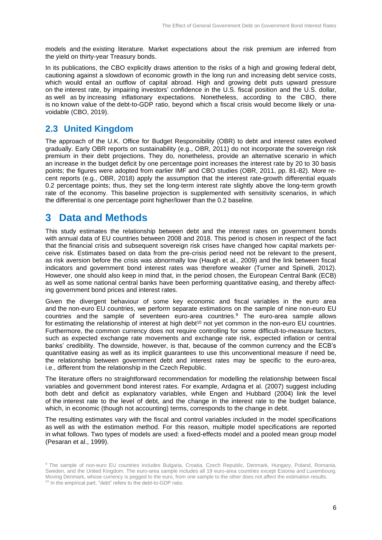models and the existing literature. Market expectations about the risk premium are inferred from the yield on thirty-year Treasury bonds.

In its publications, the CBO explicitly draws attention to the risks of a high and growing federal debt, cautioning against a slowdown of economic growth in the long run and increasing debt service costs, which would entail an outflow of capital abroad. High and growing debt puts upward pressure on the interest rate, by impairing investors' confidence in the U.S. fiscal position and the U.S. dollar, as well as by increasing inflationary expectations. Nonetheless, according to the CBO, there is no known value of the debt-to-GDP ratio, beyond which a fiscal crisis would become likely or unavoidable (CBO, 2019).

# **2.3 United Kingdom**

The approach of the U.K. Office for Budget Responsibility (OBR) to debt and interest rates evolved gradually. Early OBR reports on sustainability (e.g., OBR, 2011) do not incorporate the sovereign risk premium in their debt projections. They do, nonetheless, provide an alternative scenario in which an increase in the budget deficit by one percentage point increases the interest rate by 20 to 30 basis points; the figures were adopted from earlier IMF and CBO studies (OBR, 2011, pp. 81-82). More recent reports (e.g., OBR, 2018) apply the assumption that the interest rate-growth differential equals 0.2 percentage points; thus, they set the long-term interest rate slightly above the long-term growth rate of the economy. This baseline projection is supplemented with sensitivity scenarios, in which the differential is one percentage point higher/lower than the 0.2 baseline.

# **3 Data and Methods**

This study estimates the relationship between debt and the interest rates on government bonds with annual data of EU countries between 2008 and 2018. This period is chosen in respect of the fact that the financial crisis and subsequent sovereign risk crises have changed how capital markets perceive risk. Estimates based on data from the pre-crisis period need not be relevant to the present, as risk aversion before the crisis was abnormally low (Haugh et al., 2009) and the link between fiscal indicators and government bond interest rates was therefore weaker (Turner and Spinelli, 2012). However, one should also keep in mind that, in the period chosen, the European Central Bank (ECB) as well as some national central banks have been performing quantitative easing, and thereby affecting government bond prices and interest rates.

Given the divergent behaviour of some key economic and fiscal variables in the euro area and the non-euro EU countries, we perform separate estimations on the sample of nine non-euro EU countries and the sample of seventeen euro-area countries.<sup>9</sup> The euro-area sample allows for estimating the relationship of interest at high debt<sup>10</sup> not yet common in the non-euro EU countries. Furthermore, the common currency does not require controlling for some difficult-to-measure factors, such as expected exchange rate movements and exchange rate risk, expected inflation or central banks' credibility. The downside, however, is that, because of the common currency and the ECB's quantitative easing as well as its implicit guarantees to use this unconventional measure if need be, the relationship between government debt and interest rates may be specific to the euro-area, i.e., different from the relationship in the Czech Republic.

The literature offers no straightforward recommendation for modelling the relationship between fiscal variables and government bond interest rates. For example, Ardagna et al. (2007) suggest including both debt and deficit as explanatory variables, while Engen and Hubbard (2004) link the level of the interest rate to the level of debt, and the change in the interest rate to the budget balance, which, in economic (though not accounting) terms, corresponds to the change in debt.

The resulting estimates vary with the fiscal and control variables included in the model specifications as well as with the estimation method. For this reason, multiple model specifications are reported in what follows. Two types of models are used: a fixed-effects model and a pooled mean group model (Pesaran et al., 1999).

<sup>9</sup> The sample of non-euro EU countries includes Bulgaria, Croatia, Czech Republic, Denmark, Hungary, Poland, Romania, Sweden, and the United Kingdom. The euro-area sample includes all 19 euro-area countries except Estonia and Luxembourg. Moving Denmark, whose currency is pegged to the euro, from one sample to the other does not affect the estimation results. <sup>10</sup> In the empirical part, "debt" refers to the debt-to-GDP ratio.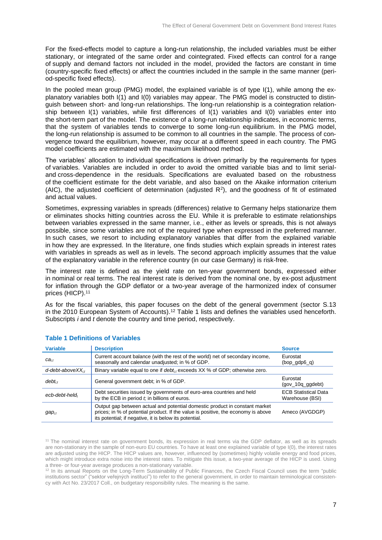For the fixed-effects model to capture a long-run relationship, the included variables must be either stationary, or integrated of the same order and cointegrated. Fixed effects can control for a range of supply and demand factors not included in the model, provided the factors are constant in time (country-specific fixed effects) or affect the countries included in the sample in the same manner (period-specific fixed effects).

In the pooled mean group (PMG) model, the explained variable is of type  $I(1)$ , while among the explanatory variables both I(1) and I(0) variables may appear. The PMG model is constructed to distinguish between short- and long-run relationships. The long-run relationship is a cointegration relationship between I(1) variables, while first differences of I(1) variables and I(0) variables enter into the short-term part of the model. The existence of a long-run relationship indicates, in economic terms, that the system of variables tends to converge to some long-run equilibrium. In the PMG model, the long-run relationship is assumed to be common to all countries in the sample. The process of convergence toward the equilibrium, however, may occur at a different speed in each country. The PMG model coefficients are estimated with the maximum likelihood method.

The variables' allocation to individual specifications is driven primarily by the requirements for types of variables. Variables are included in order to avoid the omitted variable bias and to limit serialand cross-dependence in the residuals. Specifications are evaluated based on the robustness of the coefficient estimate for the debt variable, and also based on the Akaike information criterium (AIC), the adjusted coefficient of determination (adjusted  $R^2$ ), and the goodness of fit of estimated and actual values.

Sometimes, expressing variables in spreads (differences) relative to Germany helps stationarize them or eliminates shocks hitting countries across the EU. While it is preferable to estimate relationships between variables expressed in the same manner, i.e., either as levels or spreads, this is not always possible, since some variables are not of the required type when expressed in the preferred manner. In such cases, we resort to including explanatory variables that differ from the explained variable in how they are expressed. In the literature, one finds studies which explain spreads in interest rates with variables in spreads as well as in levels. The second approach implicitly assumes that the value of the explanatory variable in the reference country (in our case Germany) is risk-free.

The interest rate is defined as the yield rate on ten-year government bonds, expressed either in nominal or real terms. The real interest rate is derived from the nominal one, by ex-post adjustment for inflation through the GDP deflator or a two-year average of the harmonized index of consumer prices (HICP).<sup>11</sup>

As for the fiscal variables, this paper focuses on the debt of the general government (sector S.13 in the 2010 European System of Accounts).<sup>12</sup> Table 1 lists and defines the variables used henceforth. Subscripts *i* and *t* denote the country and time period, respectively.

| <b>Variable</b>           | <b>Description</b>                                                                                                                                                                                                         | <b>Source</b>                                  |
|---------------------------|----------------------------------------------------------------------------------------------------------------------------------------------------------------------------------------------------------------------------|------------------------------------------------|
| $ca_{i.t}$                | Current account balance (with the rest of the world) net of secondary income,<br>seasonally and calendar unadjusted; in % of GDP.                                                                                          | Eurostat<br>$(bop_qdp6_q)$                     |
| $d$ -debt-above $XX_{it}$ | Binary variable equal to one if $debt_{i,t}$ exceeds XX % of GDP; otherwise zero.                                                                                                                                          |                                                |
| $debt_{i,t}$              | General government debt; in % of GDP.                                                                                                                                                                                      | Eurostat<br>$(gov_10q_0)$                      |
| ecb-debt-held,            | Debt securities issued by governments of euro-area countries and held<br>by the ECB in period $t$ ; in billions of euros.                                                                                                  | <b>ECB Statistical Data</b><br>Warehouse (BSI) |
| $gap_{i,t}$               | Output gap between actual and potential domestic product in constant market<br>prices; in % of potential product. If the value is positive, the economy is above<br>its potential; if negative, it is below its potential. | Ameco (AVGDGP)                                 |

#### **Table 1 Definitions of Variables**

<sup>11</sup> The nominal interest rate on government bonds, its expression in real terms via the GDP deflator, as well as its spreads are non-stationary in the sample of non-euro EU countries. To have at least one explained variable of type I(0), the interest rates are adjusted using the HICP. The HICP values are, however, influenced by (sometimes) highly volatile energy and food prices, which might introduce extra noise into the interest rates. To mitigate this issue, a two-year average of the HICP is used. Using a three- or four-year average produces a non-stationary variable.

12 In its annual Reports on the Long-Term Sustainability of Public Finances, the Czech Fiscal Council uses the term "public institutions sector" ("sektor veřejných institucí") to refer to the general government, in order to maintain terminological consistency with Act No. 23/2017 Coll., on budgetary responsibility rules. The meaning is the same.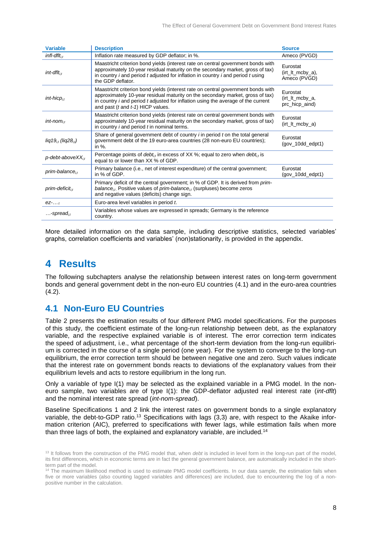| <b>Variable</b>                      | <b>Description</b>                                                                                                                                                                                                                                                                                      | <b>Source</b>                                     |
|--------------------------------------|---------------------------------------------------------------------------------------------------------------------------------------------------------------------------------------------------------------------------------------------------------------------------------------------------------|---------------------------------------------------|
| $infl$ -dfl $t_{i,t}$                | Inflation rate measured by GDP deflator; in %.                                                                                                                                                                                                                                                          | Ameco (PVGD)                                      |
| $int$ -dflt $_{i,t}$                 | Maastricht criterion bond yields (interest rate on central government bonds with<br>approximately 10-year residual maturity on the secondary market, gross of tax)<br>in country <i>i</i> and period <i>t</i> adjusted for inflation in country <i>i</i> and period <i>t</i> using<br>the GDP deflator. | Eurostat<br>$(it$ It mcby $a)$ ,<br>Ameco (PVGD)  |
| $int-hicp_{i,t}$                     | Maastricht criterion bond yields (interest rate on central government bonds with<br>approximately 10-year residual maturity on the secondary market, gross of tax)<br>in country $i$ and period $t$ adjusted for inflation using the average of the current<br>and past (t and t-1) HICP values.        | Eurostat<br>$(it$ It mcby $a$ ,<br>prc_hicp_aind) |
| $int-nom_{i,t}$                      | Maastricht criterion bond yields (interest rate on central government bonds with<br>approximately 10-year residual maturity on the secondary market, gross of tax)<br>in country <i>i</i> and period <i>t</i> in nominal terms.                                                                         | Eurostat<br>$(it$ It mcby $a)$                    |
| $lig19_{i,t}$ (lig2 $8_{i,t}$ )      | Share of general government debt of country <i>i</i> in period <i>t</i> on the total general<br>government debt of the 19 euro-area countries (28 non-euro EU countries);<br>in $%$ .                                                                                                                   | Eurostat<br>$(gov_10dd_e dpt1)$                   |
| $p$ -debt-above $XX_{it}$            | Percentage points of $debt_{i,t}$ in excess of XX %; equal to zero when $debt_{i,t}$ is<br>equal to or lower than XX % of GDP.                                                                                                                                                                          |                                                   |
| $prime$ -balance $_{i,t}$            | Primary balance (i.e., net of interest expenditure) of the central government;<br>in % of GDP.                                                                                                                                                                                                          | Eurostat<br>$(gov_10dd_e dpt1)$                   |
| prim-deficit $_{i,t}$                | Primary deficit of the central government; in % of GDP. It is derived from prim-<br>balance <sub>it</sub> Positive values of prim-balance <sub>it</sub> (surpluses) become zeros<br>and negative values (deficits) change sign.                                                                         |                                                   |
| $ez$ <sub><math>\ldots</math>t</sub> | Euro-area level variables in period t.                                                                                                                                                                                                                                                                  |                                                   |
| -spread $_{i.t}$                     | Variables whose values are expressed in spreads; Germany is the reference<br>country.                                                                                                                                                                                                                   |                                                   |

More detailed information on the data sample, including descriptive statistics, selected variables' graphs, correlation coefficients and variables' (non)stationarity, is provided in the appendix.

# **4 Results**

The following subchapters analyse the relationship between interest rates on long-term government bonds and general government debt in the non-euro EU countries (4.1) and in the euro-area countries  $(4.2)$ .

# **4.1 Non-Euro EU Countries**

Table 2 presents the estimation results of four different PMG model specifications. For the purposes of this study, the coefficient estimate of the long-run relationship between debt, as the explanatory variable, and the respective explained variable is of interest. The error correction term indicates the speed of adjustment, i.e., what percentage of the short-term deviation from the long-run equilibrium is corrected in the course of a single period (one year). For the system to converge to the long-run equilibrium, the error correction term should be between negative one and zero. Such values indicate that the interest rate on government bonds reacts to deviations of the explanatory values from their equilibrium levels and acts to restore equilibrium in the long run.

Only a variable of type I(1) may be selected as the explained variable in a PMG model. In the noneuro sample, two variables are of type I(1): the GDP-deflator adjusted real interest rate (*int-dflt*) and the nominal interest rate spread (*int-nom-spread*).

Baseline Specifications 1 and 2 link the interest rates on government bonds to a single explanatory variable, the debt-to-GDP ratio.<sup>13</sup> Specifications with lags (3,3) are, with respect to the Akaike information criterion (AIC), preferred to specifications with fewer lags, while estimation fails when more than three lags of both, the explained and explanatory variable, are included.<sup>14</sup>

<sup>&</sup>lt;sup>13</sup> It follows from the construction of the PMG model that, when *debt* is included in level form in the long-run part of the model, its first differences, which in economic terms are in fact the general government balance, are automatically included in the shortterm part of the model.

<sup>14</sup> The maximum likelihood method is used to estimate PMG model coefficients. In our data sample, the estimation fails when five or more variables (also counting lagged variables and differences) are included, due to encountering the log of a nonpositive number in the calculation.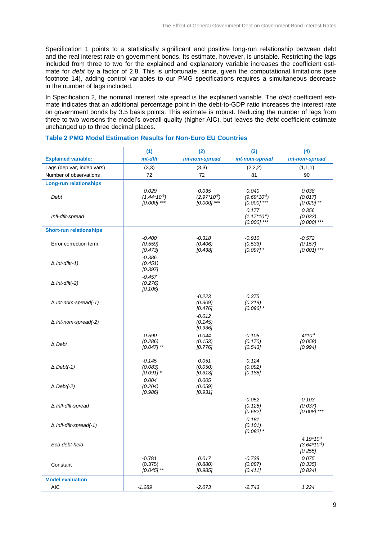Specification 1 points to a statistically significant and positive long-run relationship between debt and the real interest rate on government bonds. Its estimate, however, is unstable. Restricting the lags included from three to two for the explained and explanatory variable increases the coefficient estimate for *debt* by a factor of 2.8. This is unfortunate, since, given the computational limitations (see footnote 14), adding control variables to our PMG specifications requires a simultaneous decrease in the number of lags included.

In Specification 2, the nominal interest rate spread is the explained variable. The *debt* coefficient estimate indicates that an additional percentage point in the debt-to-GDP ratio increases the interest rate on government bonds by 3.5 basis points. This estimate is robust. Reducing the number of lags from three to two worsens the model's overall quality (higher AIC), but leaves the *debt* coefficient estimate unchanged up to three decimal places.

|                                | (1)                                    | (2)                                     | (3)                                     | (4)                                     |
|--------------------------------|----------------------------------------|-----------------------------------------|-----------------------------------------|-----------------------------------------|
| <b>Explained variable:</b>     | int-dflt                               | int-nom-spread                          | int-nom-spread                          | int-nom-spread                          |
| Lags (dep var, indep vars)     | (3,3)                                  | (3,3)                                   | (2,2,2)                                 | (1,1,1)                                 |
| Number of observations         | 72                                     | 72                                      | 81                                      | 90                                      |
| <b>Long-run relationships</b>  |                                        |                                         |                                         |                                         |
| Debt                           | 0.029<br>$(1.44*109)$<br>$[0.000]$ *** | 0.035<br>$(2.97*10-8)$<br>$[0.000]$ *** | 0.040<br>$(9.69*10-9)$<br>$[0.000]$ *** | 0.038<br>(0.017)<br>$[0.029]$ **        |
| Infl-dflt-spread               |                                        |                                         | 0.177<br>$(1.17*10-8)$<br>$[0.000]$ *** | 0.356<br>(0.032)<br>$[0.000]$ ***       |
| <b>Short-run relationships</b> |                                        |                                         |                                         |                                         |
| Error correction term          | $-0.400$<br>(0.559)<br>[0.473]         | $-0.318$<br>(0.406)<br>[0.438]          | $-0.910$<br>(0.533)<br>$[0.097]$ *      | $-0.572$<br>(0.157)<br>$[0.001]$ ***    |
| $\Delta$ Int-dflt(-1)          | $-0.386$<br>(0.451)<br>[0.397]         |                                         |                                         |                                         |
| $\Delta$ Int-dflt(-2)          | $-0.457$<br>(0.276)<br>[0.106]         |                                         |                                         |                                         |
| $\Delta$ Int-nom-spread(-1)    |                                        | $-0.223$<br>(0.309)<br>[0.476]          | 0.375<br>(0.219)<br>$[0.096]$ *         |                                         |
| $\Delta$ Int-nom-spread(-2)    |                                        | $-0.012$<br>(0.145)<br>[0.936]          |                                         |                                         |
| $\Delta$ Debt                  | 0.590<br>(0.286)<br>$[0.047]$ **       | 0.044<br>(0.153)<br>[0.776]             | $-0.105$<br>(0.170)<br>[0.543]          | $4*104$<br>(0.058)<br>[0.994]           |
| $\triangle$ Debt(-1)           | $-0.145$<br>(0.083)<br>$[0.091]$ *     | 0.051<br>(0.050)<br>[0.318]             | 0.124<br>(0.092)<br>[0.188]             |                                         |
| $\Delta$ Debt(-2)              | 0.004<br>(0.204)<br>[0.986]            | 0.005<br>(0.059)<br>[0.931]             |                                         |                                         |
| ∆ Infl-dflt-spread             |                                        |                                         | $-0.052$<br>(0.125)<br>[0.682]          | $-0.103$<br>(0.037)<br>$[0.008]$ ***    |
| $\Delta$ Infl-dflt-spread(-1)  |                                        |                                         | 0.181<br>(0.101)<br>$[0.082]$ *         |                                         |
| Ecb-debt-held                  |                                        |                                         |                                         | $4.19*10-6$<br>$(3.64*10-6)$<br>[0.255] |
| Constant                       | $-0.781$<br>(0.375)<br>$[0.045]$ **    | 0.017<br>(0.880)<br>[0.985]             | $-0.738$<br>(0.887)<br>[0.411]          | 0.075<br>(0.335)<br>[0.824]             |
| <b>Model evaluation</b>        |                                        |                                         |                                         |                                         |
| <b>AIC</b>                     | $-1.289$                               | $-2.073$                                | $-2.743$                                | 1.224                                   |
|                                |                                        |                                         |                                         |                                         |

#### **Table 2 PMG Model Estimation Results for Non-Euro EU Countries**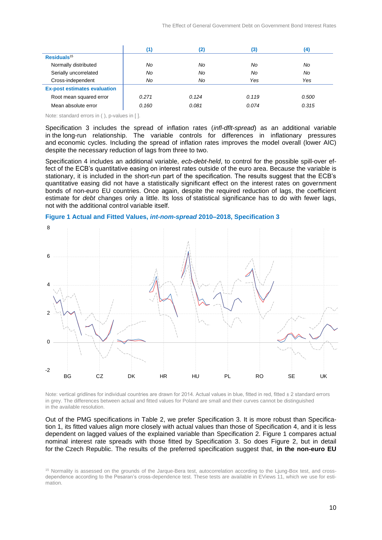|                                     | (1)   | (2)   | (3)   | (4)   |
|-------------------------------------|-------|-------|-------|-------|
| Residuals <sup>15</sup>             |       |       |       |       |
| Normally distributed                | No    | No    | No    | No    |
| Serially uncorrelated               | No    | No    | No    | No    |
| Cross-independent                   | No    | No    | Yes   | Yes   |
| <b>Ex-post estimates evaluation</b> |       |       |       |       |
| Root mean squared error             | 0.271 | 0.124 | 0.119 | 0.500 |
| Mean absolute error                 | 0.160 | 0.081 | 0.074 | 0.315 |

Note: standard errors in ( ), p-values in [ ].

Specification 3 includes the spread of inflation rates (*infl-dflt-spread*) as an additional variable in the long-run relationship. The variable controls for differences in inflationary pressures and economic cycles. Including the spread of inflation rates improves the model overall (lower AIC) despite the necessary reduction of lags from three to two.

Specification 4 includes an additional variable, *ecb-debt-held*, to control for the possible spill-over effect of the ECB's quantitative easing on interest rates outside of the euro area. Because the variable is stationary, it is included in the short-run part of the specification. The results suggest that the ECB's quantitative easing did not have a statistically significant effect on the interest rates on government bonds of non-euro EU countries. Once again, despite the required reduction of lags, the coefficient estimate for *debt* changes only a little. Its loss of statistical significance has to do with fewer lags, not with the additional control variable itself.



**Figure 1 Actual and Fitted Values,** *int-nom-spread* **2010–2018, Specification 3**

Note: vertical gridlines for individual countries are drawn for 2014. Actual values in blue, fitted in red, fitted ± 2 standard errors in grey. The differences between actual and fitted values for Poland are small and their curves cannot be distinguished in the available resolution.

Out of the PMG specifications in Table 2, we prefer Specification 3. It is more robust than Specification 1, its fitted values align more closely with actual values than those of Specification 4, and it is less dependent on lagged values of the explained variable than Specification 2. Figure 1 compares actual nominal interest rate spreads with those fitted by Specification 3. So does Figure 2, but in detail for the Czech Republic. The results of the preferred specification suggest that, **in the non-euro EU** 

<sup>&</sup>lt;sup>15</sup> Normality is assessed on the grounds of the Jarque-Bera test, autocorrelation according to the Ljung-Box test, and crossdependence according to the Pesaran's cross-dependence test. These tests are available in EViews 11, which we use for estimation.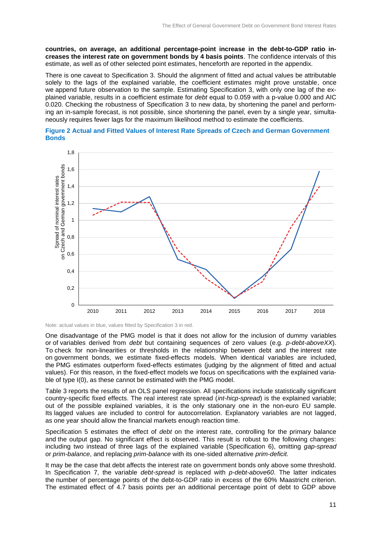**countries, on average, an additional percentage-point increase in the debt-to-GDP ratio increases the interest rate on government bonds by 4 basis points**. The confidence intervals of this estimate, as well as of other selected point estimates, henceforth are reported in the appendix.

There is one caveat to Specification 3. Should the alignment of fitted and actual values be attributable solely to the lags of the explained variable, the coefficient estimates might prove unstable, once we append future observation to the sample. Estimating Specification 3, with only one lag of the explained variable, results in a coefficient estimate for *debt* equal to 0.059 with a p-value 0.000 and AIC 0.020. Checking the robustness of Specification 3 to new data, by shortening the panel and performing an in-sample forecast, is not possible, since shortening the panel, even by a single year, simultaneously requires fewer lags for the maximum likelihood method to estimate the coefficients.





Note: actual values in blue, values fitted by Specification 3 in red.

One disadvantage of the PMG model is that it does not allow for the inclusion of dummy variables or of variables derived from *debt* but containing sequences of zero values (e.g. *p-debt-aboveXX*). To check for non-linearities or thresholds in the relationship between debt and the interest rate on government bonds, we estimate fixed-effects models. When identical variables are included, the PMG estimates outperform fixed-effects estimates (judging by the alignment of fitted and actual values). For this reason, in the fixed-effect models we focus on specifications with the explained variable of type I(0), as these cannot be estimated with the PMG model.

Table 3 reports the results of an OLS panel regression. All specifications include statistically significant country-specific fixed effects. The real interest rate spread (*int-hicp-spread*) is the explained variable; out of the possible explained variables, it is the only stationary one in the non-euro EU sample. Its lagged values are included to control for autocorrelation. Explanatory variables are not lagged, as one year should allow the financial markets enough reaction time.

Specification 5 estimates the effect of *debt* on the interest rate, controlling for the primary balance and the output gap. No significant effect is observed. This result is robust to the following changes: including two instead of three lags of the explained variable (Specification 6), omitting *gap-spread* or *prim-balance*, and replacing *prim-balance* with its one-sided alternative *prim-deficit.*

It may be the case that debt affects the interest rate on government bonds only above some threshold. In Specification 7, the variable *debt-spread* is replaced with *p-debt-above60*. The latter indicates the number of percentage points of the debt-to-GDP ratio in excess of the 60% Maastricht criterion. The estimated effect of 4.7 basis points per an additional percentage point of debt to GDP above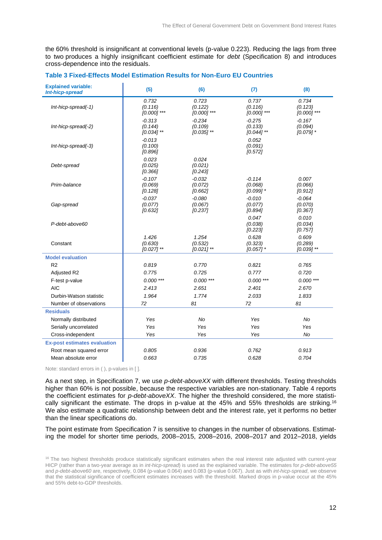the 60% threshold is insignificant at conventional levels (p-value 0.223). Reducing the lags from three to two produces a highly insignificant coefficient estimate for *debt* (Specification 8) and introduces cross-dependence into the residuals.

| <b>Explained variable:</b><br>Int-hicp-spread | (5)                                 | (6)                                 | (7)                                 | (8)                                |
|-----------------------------------------------|-------------------------------------|-------------------------------------|-------------------------------------|------------------------------------|
| Int-hicp-spread(-1)                           | 0.732<br>(0.116)<br>$[0.000]$ ***   | 0.723<br>(0.122)<br>$[0.000]$ ***   | 0.737<br>(0.116)<br>$[0.000]$ ***   | 0.734<br>(0.123)<br>$[0.000]$ ***  |
| Int-hicp-spread(-2)                           | $-0.313$<br>(0.144)<br>$[0.034]$ ** | $-0.234$<br>(0.109)<br>$[0.035]$ ** | $-0.275$<br>(0.133)<br>$[0.044]$ ** | $-0.167$<br>(0.094)<br>$[0.079]$ * |
| Int-hicp-spread(-3)                           | $-0.013$<br>(0.100)<br>[0.896]      |                                     | 0.052<br>(0.091)<br>[0.572]         |                                    |
| Debt-spread                                   | 0.023<br>(0.025)<br>[0.366]         | 0.024<br>(0.021)<br>[0.243]         |                                     |                                    |
| Prim-balance                                  | $-0.107$<br>(0.069)<br>[0.128]      | $-0.032$<br>(0.072)<br>[0.662]      | $-0.114$<br>(0.068)<br>$[0.099]$ *  | 0.007<br>(0.066)<br>[0.912]        |
| Gap-spread                                    | $-0.037$<br>(0.077)<br>[0.632]      | $-0.080$<br>(0.067)<br>[0.237]      | $-0.010$<br>(0.077)<br>[0.894]      | $-0.064$<br>(0.070)<br>[0.367]     |
| P-debt-above60                                |                                     |                                     | 0.047<br>(0.038)<br>[0.223]         | 0.010<br>(0.034)<br>[0.757]        |
| Constant                                      | 1.426<br>(0.630)<br>$[0.027]$ **    | 1.254<br>(0.532)<br>$[0.021]$ **    | 0.628<br>(0.323)<br>$[0.057]$ *     | 0.609<br>(0.289)<br>$[0.039]$ **   |
| <b>Model evaluation</b>                       |                                     |                                     |                                     |                                    |
| R <sub>2</sub>                                | 0.819                               | 0.770                               | 0.821                               | 0.765                              |
| Adjusted R2                                   | 0.775                               | 0.725                               | 0.777                               | 0.720                              |
| F-test p-value                                | $0.000***$                          | $0.000$ ***                         | $0.000$ ***                         | $0.000$ ***                        |
| <b>AIC</b>                                    | 2.413                               | 2.651                               | 2.401                               | 2.670                              |
| Durbin-Watson statistic                       | 1.964                               | 1.774                               | 2.033                               | 1.833                              |
| Number of observations                        | 72                                  | 81                                  | 72                                  | 81                                 |
| <b>Residuals</b>                              |                                     |                                     |                                     |                                    |
| Normally distributed                          | Yes                                 | No                                  | Yes                                 | No                                 |
| Serially uncorrelated                         | Yes                                 | Yes                                 | Yes                                 | Yes                                |
| Cross-independent                             | Yes                                 | Yes                                 | Yes                                 | <b>No</b>                          |
| <b>Ex-post estimates evaluation</b>           |                                     |                                     |                                     |                                    |
| Root mean squared error                       | 0.805                               | 0.936                               | 0.762                               | 0.913                              |
| Mean absolute error                           | 0.663                               | 0.735                               | 0.628                               | 0.704                              |

#### **Table 3 Fixed-Effects Model Estimation Results for Non-Euro EU Countries**

Note: standard errors in ( ), p-values in [ ].

As a next step, in Specification 7, we use *p-debt-aboveXX* with different thresholds. Testing thresholds higher than 60% is not possible, because the respective variables are non-stationary. Table 4 reports the coefficient estimates for *p-debt-aboveXX*. The higher the threshold considered, the more statistically significant the estimate. The drops in p-value at the 45% and 55% thresholds are striking.<sup>16</sup> We also estimate a quadratic relationship between debt and the interest rate, yet it performs no better than the linear specifications do.

The point estimate from Specification 7 is sensitive to changes in the number of observations. Estimating the model for shorter time periods, 2008–2015, 2008–2016, 2008–2017 and 2012–2018, yields

<sup>&</sup>lt;sup>16</sup> The two highest thresholds produce statistically significant estimates when the real interest rate adjusted with current-year HICP (rather than a two-year average as in *int-hicp-spread*) is used as the explained variable. The estimates for *p-debt-above55* and *p-debt-above60* are, respectively, 0.084 (p-value 0.064) and 0.083 (p-value 0.067). Just as with *int-hicp-spread*, we observe that the statistical significance of coefficient estimates increases with the threshold. Marked drops in p-value occur at the 45% and 55% debt-to-GDP thresholds.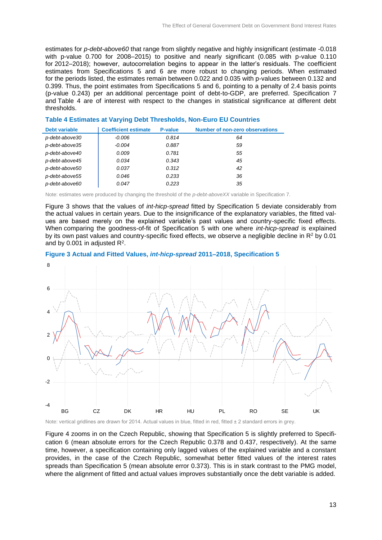estimates for *p-debt-above60* that range from slightly negative and highly insignificant (estimate -0.018 with p-value 0.700 for 2008–2015) to positive and nearly significant (0.085 with p-value 0.110 for 2012–2018); however, autocorrelation begins to appear in the latter's residuals. The coefficient estimates from Specifications 5 and 6 are more robust to changing periods. When estimated for the periods listed, the estimates remain between 0.022 and 0.035 with p-values between 0.132 and 0.399. Thus, the point estimates from Specifications 5 and 6, pointing to a penalty of 2.4 basis points (p-value 0.243) per an additional percentage point of debt-to-GDP, are preferred. Specification 7 and Table 4 are of interest with respect to the changes in statistical significance at different debt thresholds.

#### **Table 4 Estimates at Varying Debt Thresholds, Non-Euro EU Countries**

| <b>Debt variable</b> | <b>Coefficient estimate</b> | <b>P-value</b> | <b>Number of non-zero observations</b> |
|----------------------|-----------------------------|----------------|----------------------------------------|
| p-debt-above30       | -0.006                      | 0.814          | 64                                     |
| p-debt-above35       | $-0.004$                    | 0.887          | 59                                     |
| p-debt-above40       | 0.009                       | 0.781          | 55                                     |
| p-debt-above45       | 0.034                       | 0.343          | 45                                     |
| p-debt-above50       | 0.037                       | 0.312          | 42                                     |
| p-debt-above55       | 0.046                       | 0.233          | 36                                     |
| p-debt-above60       | 0.047                       | 0.223          | 35                                     |

Note: estimates were produced by changing the threshold of the *p-debt-aboveXX* variable in Specification 7.

Figure 3 shows that the values of *int-hicp-spread* fitted by Specification 5 deviate considerably from the actual values in certain years. Due to the insignificance of the explanatory variables, the fitted values are based merely on the explained variable's past values and country-specific fixed effects. When comparing the goodness-of-fit of Specification 5 with one where *int-hicp-spread* is explained by its own past values and country-specific fixed effects, we observe a negligible decline in R<sup>2</sup> by 0.01 and by 0.001 in adjusted  $R^2$ .

#### **Figure 3 Actual and Fitted Values,** *int-hicp-spread* **2011–2018, Specification 5**



Note: vertical gridlines are drawn for 2014. Actual values in blue, fitted in red, fitted ± 2 standard errors in grey.

Figure 4 zooms in on the Czech Republic, showing that Specification 5 is slightly preferred to Specification 6 (mean absolute errors for the Czech Republic 0.378 and 0.437, respectively). At the same time, however, a specification containing only lagged values of the explained variable and a constant provides, in the case of the Czech Republic, somewhat better fitted values of the interest rates spreads than Specification 5 (mean absolute error 0.373). This is in stark contrast to the PMG model, where the alignment of fitted and actual values improves substantially once the debt variable is added.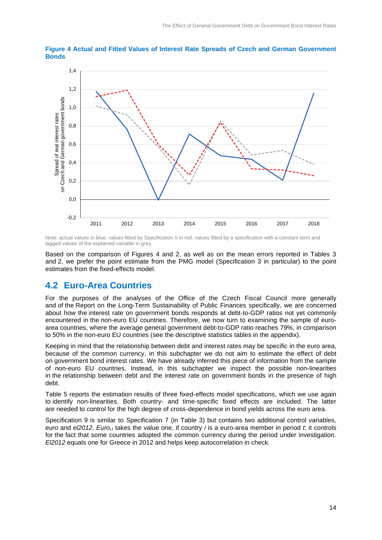

**Figure 4 Actual and Fitted Values of Interest Rate Spreads of Czech and German Government Bonds**

Note: actual values in blue, values fitted by Specification 5 in red, values fitted by a specification with a constant term and lagged values of the explained variable in grey.

Based on the comparison of Figures 4 and 2, as well as on the mean errors reported in Tables 3 and 2, we prefer the point estimate from the PMG model (Specification 3 in particular) to the point estimates from the fixed-effects model.

# **4.2 Euro-Area Countries**

For the purposes of the analyses of the Office of the Czech Fiscal Council more generally and of the Report on the Long-Term Sustainability of Public Finances specifically, we are concerned about how the interest rate on government bonds responds at debt-to-GDP ratios not yet commonly encountered in the non-euro EU countries. Therefore, we now turn to examining the sample of euroarea countries, where the average general government debt-to-GDP ratio reaches 79%, in comparison to 50% in the non-euro EU countries (see the descriptive statistics tables in the appendix).

Keeping in mind that the relationship between debt and interest rates may be specific in the euro area, because of the common currency, in this subchapter we do not aim to estimate the effect of debt on government bond interest rates. We have already inferred this piece of information from the sample of non-euro EU countries. Instead, in this subchapter we inspect the possible non-linearities in the relationship between debt and the interest rate on government bonds in the presence of high debt.

Table 5 reports the estimation results of three fixed-effects model specifications, which we use again to identify non-linearities. Both country- and time-specific fixed effects are included. The latter are needed to control for the high degree of cross-dependence in bond yields across the euro area.

Specification 9 is similar to Specification 7 (in Table 3) but contains two additional control variables, *euro* and *el2012*. *Euroi,t* takes the value one, if country *i* is a euro-area member in period *t*; it controls for the fact that some countries adopted the common currency during the period under investigation. *El2012* equals one for Greece in 2012 and helps keep autocorrelation in check.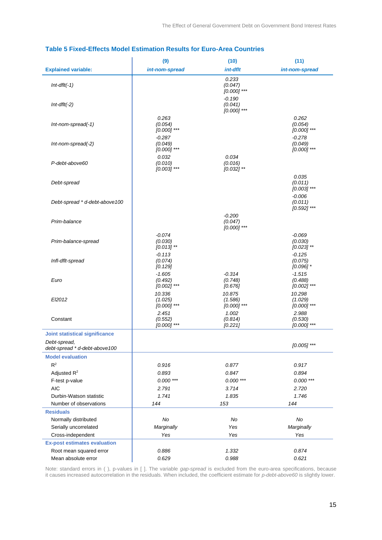|                                               | (9)                                  | (10)                                 | (11)                                 |
|-----------------------------------------------|--------------------------------------|--------------------------------------|--------------------------------------|
| <b>Explained variable:</b>                    | int-nom-spread                       | int-dflt                             | int-nom-spread                       |
| $Int-dflt(-1)$                                |                                      | 0.233<br>(0.047)<br>$[0.000]$ ***    |                                      |
| $Int-dflt(-2)$                                |                                      | $-0.190$<br>(0.041)<br>$[0.000]$ *** |                                      |
| $Int-nom-spread(-1)$                          | 0.263<br>(0.054)<br>$[0.000]$ ***    |                                      | 0.262<br>(0.054)<br>$[0.000]$ ***    |
| Int-nom-spread(-2)                            | $-0.287$<br>(0.049)<br>$[0.000]$ *** |                                      | $-0.278$<br>(0.049)<br>$[0.000]$ *** |
| P-debt-above60                                | 0.032<br>(0.010)<br>$[0.003]$ ***    | 0.034<br>(0.016)<br>$[0.032]$ **     |                                      |
| Debt-spread                                   |                                      |                                      | 0.035<br>(0.011)<br>$[0.003]$ ***    |
| Debt-spread * d-debt-above100                 |                                      |                                      | $-0.006$<br>(0.011)<br>$[0.592]$ *** |
| Prim-balance                                  |                                      | $-0.200$<br>(0.047)<br>$[0.000]$ *** |                                      |
| Prim-balance-spread                           | $-0.074$<br>(0.030)<br>$[0.013]$ **  |                                      | $-0.069$<br>(0.030)<br>$[0.023]$ **  |
| Infl-dflt-spread                              | $-0.113$<br>(0.074)<br>[0.129]       |                                      | $-0.125$<br>(0.075)<br>$[0.096]$ *   |
| Euro                                          | $-1.605$<br>(0.492)<br>$[0.002]$ *** | $-0.314$<br>(0.748)<br>[0.676]       | $-1.515$<br>(0.488)<br>$[0.002]$ *** |
| El2012                                        | 10.336<br>(1.025)<br>$[0.000]$ ***   | 10.875<br>(1.586)<br>$[0.000]$ ***   | 10.298<br>(1.029)<br>$[0.000]$ ***   |
| Constant                                      | 2.451<br>(0.552)<br>$[0.000]$ ***    | 1.002<br>(0.814)<br>[0.221]          | 2.988<br>(0.530)<br>$[0.000]$ ***    |
| <b>Joint statistical significance</b>         |                                      |                                      |                                      |
| Debt-spread,<br>debt-spread * d-debt-above100 |                                      |                                      | [0.005] ***                          |
| <b>Model evaluation</b>                       |                                      |                                      |                                      |
| $\mathsf{R}^2$                                | 0.916                                | 0.877                                | 0.917                                |
| Adjusted $R^2$                                | 0.893                                | 0.847                                | 0.894                                |
| F-test p-value                                | $0.000***$                           | $0.000***$                           | $0.000***$                           |
| <b>AIC</b>                                    | 2.791                                | 3.714                                | 2.720                                |
| Durbin-Watson statistic                       | 1.741                                | 1.835                                | 1.746                                |
| Number of observations                        | 144                                  | 153                                  | 144                                  |
| <b>Residuals</b>                              |                                      |                                      |                                      |
| Normally distributed                          | No                                   | No                                   | No                                   |
| Serially uncorrelated                         | Marginally                           | Yes                                  | Marginally                           |
| Cross-independent                             | Yes                                  | Yes                                  | Yes                                  |
| <b>Ex-post estimates evaluation</b>           |                                      |                                      |                                      |
| Root mean squared error                       | 0.886                                | 1.332                                | 0.874                                |
| Mean absolute error                           | 0.629                                | 0.988                                | 0.621                                |

### **Table 5 Fixed-Effects Model Estimation Results for Euro-Area Countries**

Note: standard errors in ( ), p-values in [ ]. The variable *gap-spread* is excluded from the euro-area specifications, because it causes increased autocorrelation in the residuals. When included, the coefficient estimate for *p-debt-above60* is slightly lower.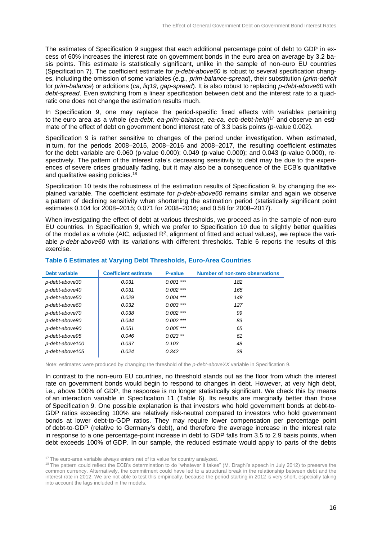The estimates of Specification 9 suggest that each additional percentage point of debt to GDP in excess of 60% increases the interest rate on government bonds in the euro area on average by 3.2 basis points. This estimate is statistically significant, unlike in the sample of non-euro EU countries (Specification 7). The coefficient estimate for *p-debt-above60* is robust to several specification changes, including the omission of some variables (e.g., *prim-balance-spread*), their substitution (*prim-deficit* for *prim-balance*) or additions (*ca*, *liq19*, *gap-spread*). It is also robust to replacing *p-debt-above60* with *debt-spread*. Even switching from a linear specification between debt and the interest rate to a quadratic one does not change the estimation results much.

In Specification 9, one may replace the period-specific fixed effects with variables pertaining to the euro area as a whole (*ea-debt, ea-prim-balance, ea-ca, ecb-debt-held*) <sup>17</sup> and observe an estimate of the effect of debt on government bond interest rate of 3.3 basis points (p-value 0.002).

Specification 9 is rather sensitive to changes of the period under investigation. When estimated, in turn, for the periods 2008–2015, 2008–2016 and 2008–2017, the resulting coefficient estimates for the debt variable are 0.060 (p-value 0.000); 0.049 (p-value 0.000); and 0.043 (p-value 0.000), respectively. The pattern of the interest rate's decreasing sensitivity to debt may be due to the experiences of severe crises gradually fading, but it may also be a consequence of the ECB's quantitative and qualitative easing policies.<sup>18</sup>

Specification 10 tests the robustness of the estimation results of Specification 9, by changing the explained variable. The coefficient estimate for *p-debt-above60* remains similar and again we observe a pattern of declining sensitivity when shortening the estimation period (statistically significant point estimates 0.104 for 2008–2015; 0.071 for 2008–2016; and 0.58 for 2008–2017).

When investigating the effect of debt at various thresholds, we proceed as in the sample of non-euro EU countries. In Specification 9, which we prefer to Specification 10 due to slightly better qualities of the model as a whole (AIC, adjusted R<sup>2</sup>, alignment of fitted and actual values), we replace the variable *p-debt-above60* with its variations with different thresholds. Table 6 reports the results of this exercise.

| <b>Debt variable</b> | <b>Coefficient estimate</b> | P-value     | <b>Number of non-zero observations</b> |
|----------------------|-----------------------------|-------------|----------------------------------------|
| p-debt-above30       | 0.031                       | $0.001***$  | 182                                    |
| p-debt-above40       | 0.031                       | $0.002$ *** | 165                                    |
| p-debt-above50       | 0.029                       | $0.004$ *** | 148                                    |
| p-debt-above60       | 0.032                       | $0.003$ *** | 127                                    |
| p-debt-above70       | 0.038                       | $0.002$ *** | 99                                     |
| p-debt-above80       | 0.044                       | $0.002$ *** | 83                                     |
| p-debt-above90       | 0.051                       | $0.005$ *** | 65                                     |
| p-debt-above95       | 0.046                       | $0.023$ **  | 61                                     |
| p-debt-above100      | 0.037                       | 0.103       | 48                                     |
| p-debt-above105      | 0.024                       | 0.342       | 39                                     |
|                      |                             |             |                                        |

### **Table 6 Estimates at Varying Debt Thresholds, Euro-Area Countries**

Note: estimates were produced by changing the threshold of the *p-debt-aboveXX* variable in Specification 9.

In contrast to the non-euro EU countries, no threshold stands out as the floor from which the interest rate on government bonds would begin to respond to changes in debt. However, at very high debt, i.e., above 100% of GDP, the response is no longer statistically significant. We check this by means of an interaction variable in Specification 11 (Table 6). Its results are marginally better than those of Specification 9. One possible explanation is that investors who hold government bonds at debt-to-GDP ratios exceeding 100% are relatively risk-neutral compared to investors who hold government bonds at lower debt-to-GDP ratios. They may require lower compensation per percentage point of debt-to-GDP (relative to Germany's debt), and therefore the average increase in the interest rate in response to a one percentage-point increase in debt to GDP falls from 3.5 to 2.9 basis points, when debt exceeds 100% of GDP. In our sample, the reduced estimate would apply to parts of the debts

<sup>&</sup>lt;sup>17</sup> The euro-area variable always enters net of its value for country analyzed.

<sup>&</sup>lt;sup>18</sup> The pattern could reflect the ECB's determination to do "whatever it takes" (M. Draghi's speech in July 2012) to preserve the common currency. Alternatively, the commitment could have led to a structural break in the relationship between debt and the interest rate in 2012. We are not able to test this empirically, because the period starting in 2012 is very short, especially taking into account the lags included in the models.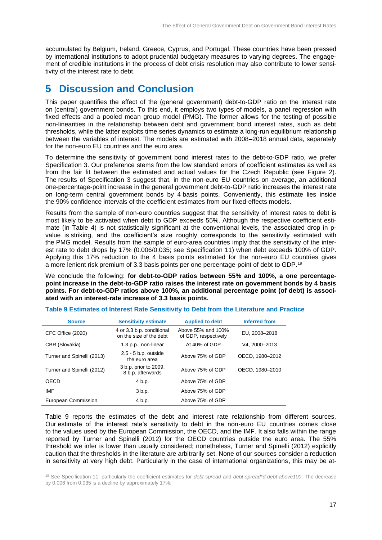accumulated by Belgium, Ireland, Greece, Cyprus, and Portugal. These countries have been pressed by international institutions to adopt prudential budgetary measures to varying degrees. The engagement of credible institutions in the process of debt crisis resolution may also contribute to lower sensitivity of the interest rate to debt.

# **5 Discussion and Conclusion**

This paper quantifies the effect of the (general government) debt-to-GDP ratio on the interest rate on (central) government bonds. To this end, it employs two types of models, a panel regression with fixed effects and a pooled mean group model (PMG). The former allows for the testing of possible non-linearities in the relationship between debt and government bond interest rates, such as debt thresholds, while the latter exploits time series dynamics to estimate a long-run equilibrium relationship between the variables of interest. The models are estimated with 2008–2018 annual data, separately for the non-euro EU countries and the euro area.

To determine the sensitivity of government bond interest rates to the debt-to-GDP ratio, we prefer Specification 3. Our preference stems from the low standard errors of coefficient estimates as well as from the fair fit between the estimated and actual values for the Czech Republic (see Figure 2). The results of Specification 3 suggest that, in the non-euro EU countries on average, an additional one-percentage-point increase in the general government debt-to-GDP ratio increases the interest rate on long-term central government bonds by 4 basis points. Conveniently, this estimate lies inside the 90% confidence intervals of the coefficient estimates from our fixed-effects models.

Results from the sample of non-euro countries suggest that the sensitivity of interest rates to debt is most likely to be activated when debt to GDP exceeds 55%. Although the respective coefficient estimate (in Table 4) is not statistically significant at the conventional levels, the associated drop in pvalue is striking, and the coefficient's size roughly corresponds to the sensitivity estimated with the PMG model. Results from the sample of euro-area countries imply that the sensitivity of the interest rate to debt drops by 17% (0.006/0.035; see Specification 11) when debt exceeds 100% of GDP. Applying this 17% reduction to the 4 basis points estimated for the non-euro EU countries gives a more lenient risk premium of 3.3 basis points per one percentage-point of debt to GDP. 19

We conclude the following: **for debt-to-GDP ratios between 55% and 100%, a one percentagepoint increase in the debt-to-GDP ratio raises the interest rate on government bonds by 4 basis points. For debt-to-GDP ratios above 100%, an additional percentage point (of debt) is associated with an interest-rate increase of 3.3 basis points.** 

| <b>Source</b>              | <b>Sensitivity estimate</b>                          | <b>Applied to debt</b>                     | Inferred from   |
|----------------------------|------------------------------------------------------|--------------------------------------------|-----------------|
| CFC Office (2020)          | 4 or 3.3 b.p. conditional<br>on the size of the debt | Above 55% and 100%<br>of GDP, respectively | EU, 2008-2018   |
| CBR (Slovakia)             | 1.3 p.p., non-linear                                 | At 40% of GDP                              | V4.2000-2013    |
| Turner and Spinelli (2013) | $2.5 - 5$ b.p. outside<br>the euro area              | Above 75% of GDP                           | OECD, 1980-2012 |
| Turner and Spinelli (2012) | 3 b.p. prior to 2009,<br>8 b.p. afterwards           | Above 75% of GDP                           | OECD, 1980-2010 |
| OECD                       | 4 b.p.                                               | Above 75% of GDP                           |                 |
| IMF                        | 3 b.p.                                               | Above 75% of GDP                           |                 |
| European Commission        | 4 b.p.                                               | Above 75% of GDP                           |                 |

#### **Table 9 Estimates of Interest Rate Sensitivity to Debt from the Literature and Practice**

Table 9 reports the estimates of the debt and interest rate relationship from different sources. Our estimate of the interest rate's sensitivity to debt in the non-euro EU countries comes close to the values used by the European Commission, the OECD, and the IMF. It also falls within the range reported by Turner and Spinelli (2012) for the OECD countries outside the euro area. The 55% threshold we infer is lower than usually considered; nonetheless, Turner and Spinelli (2012) explicitly caution that the thresholds in the literature are arbitrarily set. None of our sources consider a reduction in sensitivity at very high debt. Particularly in the case of international organizations, this may be at-

<sup>19</sup> See Specification 11, particularly the coefficient estimates for *debt-spread* and *debt-spread*\**d-debt-above100*. The decrease by 0.006 from 0.035 is a decline by approximately 17%.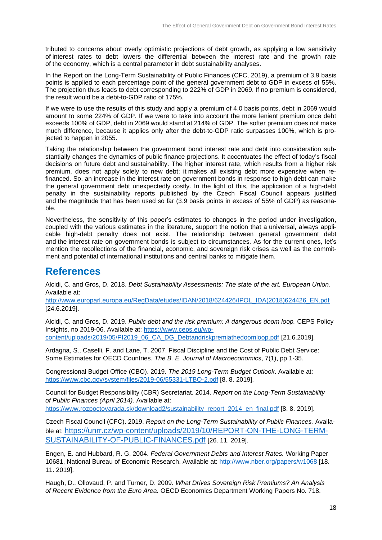tributed to concerns about overly optimistic projections of debt growth, as applying a low sensitivity of interest rates to debt lowers the differential between the interest rate and the growth rate of the economy, which is a central parameter in debt sustainability analyses.

In the Report on the Long-Term Sustainability of Public Finances (CFC, 2019), a premium of 3.9 basis points is applied to each percentage point of the general government debt to GDP in excess of 55%. The projection thus leads to debt corresponding to 222% of GDP in 2069. If no premium is considered, the result would be a debt-to-GDP ratio of 175%.

If we were to use the results of this study and apply a premium of 4.0 basis points, debt in 2069 would amount to some 224% of GDP. If we were to take into account the more lenient premium once debt exceeds 100% of GDP, debt in 2069 would stand at 214% of GDP. The softer premium does not make much difference, because it applies only after the debt-to-GDP ratio surpasses 100%, which is projected to happen in 2055.

Taking the relationship between the government bond interest rate and debt into consideration substantially changes the dynamics of public finance projections. It accentuates the effect of today's fiscal decisions on future debt and sustainability. The higher interest rate, which results from a higher risk premium, does not apply solely to new debt; it makes all existing debt more expensive when refinanced. So, an increase in the interest rate on government bonds in response to high debt can make the general government debt unexpectedly costly. In the light of this, the application of a high-debt penalty in the sustainability reports published by the Czech Fiscal Council appears justified and the magnitude that has been used so far (3.9 basis points in excess of 55% of GDP) as reasonable.

Nevertheless, the sensitivity of this paper's estimates to changes in the period under investigation, coupled with the various estimates in the literature, support the notion that a universal, always applicable high-debt penalty does not exist. The relationship between general government debt and the interest rate on government bonds is subject to circumstances. As for the current ones, let's mention the recollections of the financial, economic, and sovereign risk crises as well as the commitment and potential of international institutions and central banks to mitigate them.

# **References**

Alcidi, C. and Gros, D. 2018. *Debt Sustainability Assessments: The state of the art. European Union*. Available at:

[http://www.europarl.europa.eu/RegData/etudes/IDAN/2018/624426/IPOL\\_IDA\(2018\)624426\\_EN.pdf](http://www.europarl.europa.eu/RegData/etudes/IDAN/2018/624426/IPOL_IDA(2018)624426_EN.pdf) [24.6.2019].

Alcidi, C. and Gros, D. 2019. *Public debt and the risk premium: A dangerous doom loop.* CEPS Policy Insights, no 2019-06. Available at: [https://www.ceps.eu/wp](https://www.ceps.eu/wp-content/uploads/2019/05/PI2019_06_CA_DG_Debtandriskpremiathedoomloop.pdf)[content/uploads/2019/05/PI2019\\_06\\_CA\\_DG\\_Debtandriskpremiathedoomloop.pdf](https://www.ceps.eu/wp-content/uploads/2019/05/PI2019_06_CA_DG_Debtandriskpremiathedoomloop.pdf) [21.6.2019].

Ardagna, S., Caselli, F. and Lane, T. 2007. Fiscal Discipline and the Cost of Public Debt Service: Some Estimates for OECD Countries. *The B. E. Journal of Macroeconomics*, 7(1), pp 1-35.

Congressional Budget Office (CBO). 2019. *The 2019 Long-Term Budget Outlook*. Available at: <https://www.cbo.gov/system/files/2019-06/55331-LTBO-2.pdf> [8. 8. 2019].

Council for Budget Responsibility (CBR) Secretariat. 2014. *Report on the Long-Term Sustainability of Public Finances (April 2014).* Available at:

[https://www.rozpoctovarada.sk/download2/sustainability\\_report\\_2014\\_en\\_final.pdf](https://www.rozpoctovarada.sk/download2/sustainability_report_2014_en_final.pdf) [8. 8. 2019].

Czech Fiscal Council (CFC). 2019. *Report on the Long-Term Sustainability of Public Finances.* Available at: [https://unrr.cz/wp-content/uploads/2019/10/REPORT-ON-THE-LONG-TERM-](https://unrr.cz/wp-content/uploads/2019/10/REPORT-ON-THE-LONG-TERM-SUSTAINABILITY-OF-PUBLIC-FINANCES.pdf)[SUSTAINABILITY-OF-PUBLIC-FINANCES.pdf](https://unrr.cz/wp-content/uploads/2019/10/REPORT-ON-THE-LONG-TERM-SUSTAINABILITY-OF-PUBLIC-FINANCES.pdf) [26. 11. 2019].

Engen, E. and Hubbard, R. G. 2004. *Federal Government Debts and Interest Rates.* Working Paper 10681, National Bureau of Economic Research. Available at:<http://www.nber.org/papers/w1068> [18. 11. 2019].

Haugh, D., Ollovaud, P. and Turner, D. 2009. *What Drives Sovereign Risk Premiums? An Analysis of Recent Evidence from the Euro Area.* OECD Economics Department Working Papers No. 718.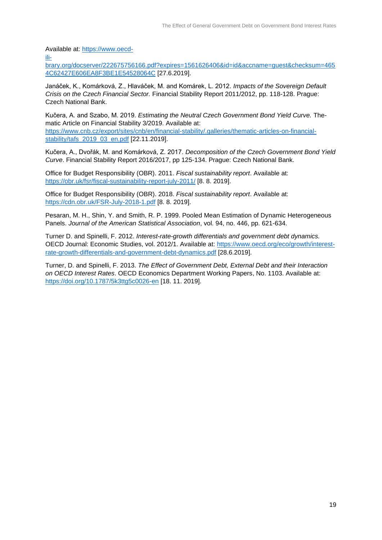Available at: [https://www.oecd-](https://www.oecd-ilibrary.org/docserver/222675756166.pdf?expires=1561626406&id=id&accname=guest&checksum=4654C62427E606EA8F3BE1E54528064C)

[ili-](https://www.oecd-ilibrary.org/docserver/222675756166.pdf?expires=1561626406&id=id&accname=guest&checksum=4654C62427E606EA8F3BE1E54528064C)

[brary.org/docserver/222675756166.pdf?expires=1561626406&id=id&accname=guest&checksum=465](https://www.oecd-ilibrary.org/docserver/222675756166.pdf?expires=1561626406&id=id&accname=guest&checksum=4654C62427E606EA8F3BE1E54528064C) [4C62427E606EA8F3BE1E54528064C](https://www.oecd-ilibrary.org/docserver/222675756166.pdf?expires=1561626406&id=id&accname=guest&checksum=4654C62427E606EA8F3BE1E54528064C) [27.6.2019].

Janáček, K., Komárková, Z., Hlaváček, M. and Komárek, L. 2012. *Impacts of the Sovereign Default Crisis on the Czech Financial Sector.* Financial Stability Report 2011/2012, pp. 118-128. Prague: Czech National Bank.

Kučera, A. and Szabo, M. 2019. *Estimating the Neutral Czech Government Bond Yield Curve.* Thematic Article on Financial Stability 3/2019. Available at: [https://www.cnb.cz/export/sites/cnb/en/financial-stability/.galleries/thematic-articles-on-financial](https://www.cnb.cz/export/sites/cnb/en/financial-stability/.galleries/thematic-articles-on-financial-stability/tafs_2019_03_en.pdf)[stability/tafs\\_2019\\_03\\_en.pdf](https://www.cnb.cz/export/sites/cnb/en/financial-stability/.galleries/thematic-articles-on-financial-stability/tafs_2019_03_en.pdf) [22.11.2019].

Kučera, A., Dvořák, M. and Komárková, Z. 2017. *Decomposition of the Czech Government Bond Yield Curve*. Financial Stability Report 2016/2017, pp 125-134. Prague: Czech National Bank.

Office for Budget Responsibility (OBR). 2011. *Fiscal sustainability report*. Available at: <https://obr.uk/fsr/fiscal-sustainability-report-july-2011/> [8. 8. 2019].

Office for Budget Responsibility (OBR). 2018. *Fiscal sustainability report*. Available at: <https://cdn.obr.uk/FSR-July-2018-1.pdf> [8. 8. 2019].

Pesaran, M. H., Shin, Y. and Smith, R. P. 1999. Pooled Mean Estimation of Dynamic Heterogeneous Panels. *Journal of the American Statistical Association*, vol. 94, no. 446, pp. 621-634.

Turner D. and Spinelli, F. 2012. *Interest-rate-growth differentials and government debt dynamics.* OECD Journal: Economic Studies, vol. 2012/1. Available at: [https://www.oecd.org/eco/growth/interest](https://www.oecd.org/eco/growth/interest-rate-growth-differentials-and-government-debt-dynamics.pdf)[rate-growth-differentials-and-government-debt-dynamics.pdf](https://www.oecd.org/eco/growth/interest-rate-growth-differentials-and-government-debt-dynamics.pdf) [28.6.2019].

Turner, D. and Spinelli, F. 2013. *The Effect of Government Debt, External Debt and their Interaction on OECD Interest Rates*. OECD Economics Department Working Papers, No. 1103. Available at: <https://doi.org/10.1787/5k3ttg5c0026-en> [18. 11. 2019].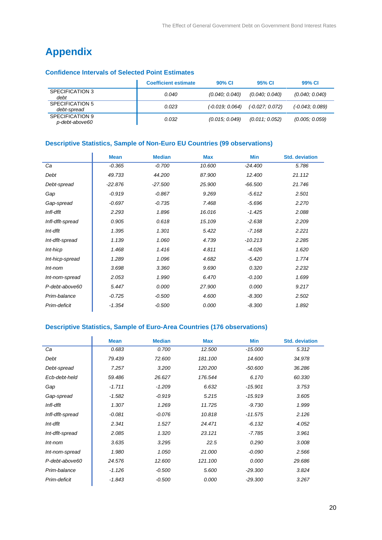# **Appendix**

### **Confidence Intervals of Selected Point Estimates**

|                                   | <b>Coefficient estimate</b> | 90% CI            | 95% CI           | 99% CI            |
|-----------------------------------|-----------------------------|-------------------|------------------|-------------------|
| SPECIFICATION 3<br>debt           | 0.040                       | (0.040; 0.040)    | (0.040; 0.040)   | (0.040, 0.040)    |
| SPECIFICATION 5<br>debt-spread    | 0.023                       | $(-0.019, 0.064)$ | $(-0.027:0.072)$ | $(-0.043, 0.089)$ |
| SPECIFICATION 9<br>p-debt-above60 | 0.032                       | (0.015; 0.049)    | (0.011; 0.052)   | (0.005; 0.059)    |

### **Descriptive Statistics, Sample of Non-Euro EU Countries (99 observations)**

|                  | <b>Mean</b> | <b>Median</b> | <b>Max</b> | Min       | <b>Std. deviation</b> |
|------------------|-------------|---------------|------------|-----------|-----------------------|
| Ca               | $-0.365$    | $-0.700$      | 10.600     | $-24.400$ | 5.786                 |
| Debt             | 49.733      | 44.200        | 87.900     | 12.400    | 21.112                |
| Debt-spread      | $-22.876$   | $-27.500$     | 25.900     | $-66.500$ | 21.746                |
| Gap              | $-0.919$    | $-0.867$      | 9.269      | $-5.612$  | 2.501                 |
| Gap-spread       | $-0.697$    | $-0.735$      | 7.468      | $-5.696$  | 2.270                 |
| Infl-dflt        | 2.293       | 1.896         | 16.016     | $-1.425$  | 2.088                 |
| Infl-dflt-spread | 0.905       | 0.618         | 15.109     | $-2.638$  | 2.209                 |
| Int-dflt         | 1.395       | 1.301         | 5.422      | $-7.168$  | 2.221                 |
| Int-dflt-spread  | 1.139       | 1.060         | 4.739      | $-10.213$ | 2.285                 |
| Int-hicp         | 1.468       | 1.416         | 4.811      | $-4.026$  | 1.620                 |
| Int-hicp-spread  | 1.289       | 1.096         | 4.682      | $-5.420$  | 1.774                 |
| Int-nom          | 3.698       | 3.360         | 9.690      | 0.320     | 2.232                 |
| Int-nom-spread   | 2.053       | 1.990         | 6.470      | $-0.100$  | 1.699                 |
| P-debt-above60   | 5.447       | 0.000         | 27.900     | 0.000     | 9.217                 |
| Prim-balance     | $-0.725$    | $-0.500$      | 4.600      | $-8.300$  | 2.502                 |
| Prim-deficit     | $-1.354$    | $-0.500$      | 0.000      | $-8.300$  | 1.892                 |

# **Descriptive Statistics, Sample of Euro-Area Countries (176 observations)**

|                  | <b>Mean</b> | <b>Median</b> | <b>Max</b> | <b>Min</b> | <b>Std. deviation</b> |
|------------------|-------------|---------------|------------|------------|-----------------------|
| Ca               | 0.683       | 0.700         | 12.500     | $-15.000$  | 5.312                 |
| Debt             | 79.439      | 72.600        | 181.100    | 14.600     | 34.978                |
| Debt-spread      | 7.257       | 3.200         | 120.200    | $-50.600$  | 36.286                |
| Ecb-debt-held    | 59.486      | 26.627        | 176.544    | 6.170      | 60.330                |
| Gap              | $-1.711$    | $-1.209$      | 6.632      | $-15.901$  | 3.753                 |
| Gap-spread       | $-1.582$    | $-0.919$      | 5.215      | $-15.919$  | 3.605                 |
| Infl-dflt        | 1.307       | 1.269         | 11.725     | $-9.730$   | 1.999                 |
| Infl-dflt-spread | $-0.081$    | $-0.076$      | 10.818     | $-11.575$  | 2.126                 |
| Int-dflt         | 2.341       | 1.527         | 24.471     | $-6.132$   | 4.052                 |
| Int-dflt-spread  | 2.085       | 1.320         | 23.121     | $-7.785$   | 3.961                 |
| $Int-nom$        | 3.635       | 3.295         | 22.5       | 0.290      | 3.008                 |
| Int-nom-spread   | 1.980       | 1.050         | 21.000     | $-0.090$   | 2.566                 |
| P-debt-above60   | 24.576      | 12.600        | 121.100    | 0.000      | 29.686                |
| Prim-balance     | $-1.126$    | $-0.500$      | 5.600      | $-29.300$  | 3.824                 |
| Prim-deficit     | $-1.843$    | $-0.500$      | 0.000      | $-29.300$  | 3.267                 |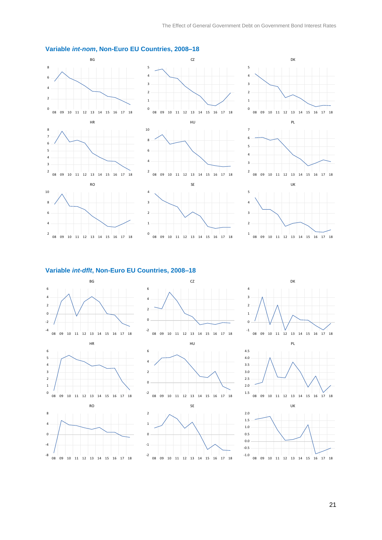

### **Variable** *int-nom***, Non-Euro EU Countries, 2008–18**

### **Variable** *int-dflt***, Non-Euro EU Countries, 2008–18**





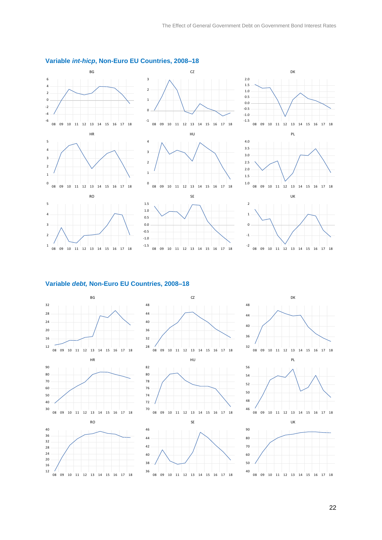

### **Variable** *int-hicp***, Non-Euro EU Countries, 2008–18**

#### **Variable** *debt,* **Non-Euro EU Countries, 2008–18**

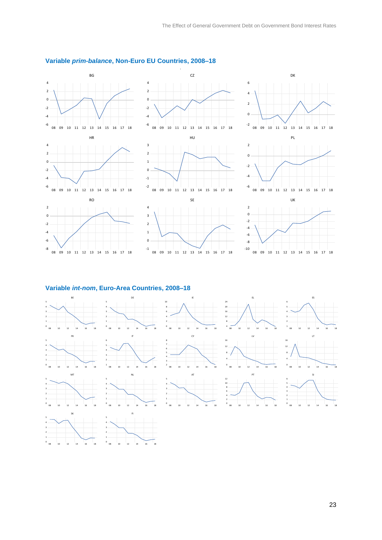

### **Variable** *prim-balance***, Non-Euro EU Countries, 2008–18**

#### **Variable** *int-nom***, Euro-Area Countries, 2008–18**

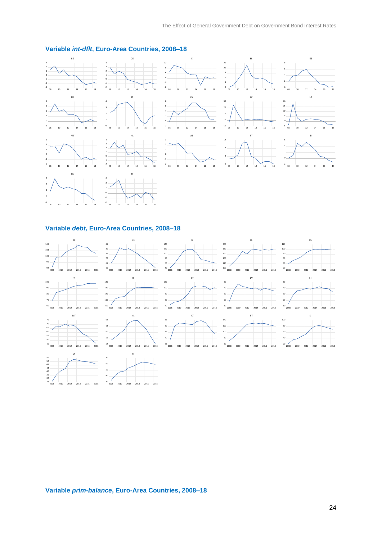

### **Variable** *int-dflt***, Euro-Area Countries, 2008–18**

#### **Variable** *debt,* **Euro-Area Countries, 2008–18**



**Variable** *prim-balance***, Euro-Area Countries, 2008–18**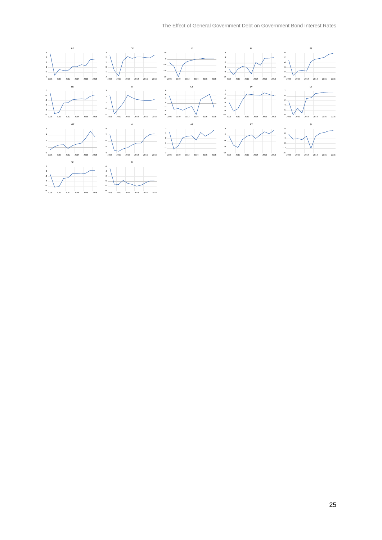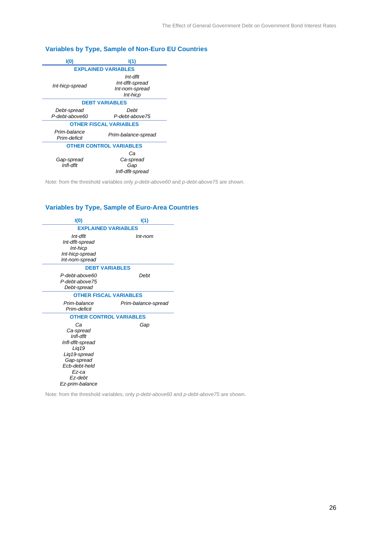### **Variables by Type, Sample of Non-Euro EU Countries**

| I(0)                           | I(1)                                                      |  |  |  |  |  |
|--------------------------------|-----------------------------------------------------------|--|--|--|--|--|
| <b>EXPLAINED VARIABLES</b>     |                                                           |  |  |  |  |  |
| Int-hicp-spread                | Int-dflt<br>Int-dflt-spread<br>Int-nom-spread<br>Int-hicp |  |  |  |  |  |
|                                | <b>DEBT VARIABLES</b>                                     |  |  |  |  |  |
| Debt-spread<br>P-debt-above60  | Debt<br>P-debt-above75                                    |  |  |  |  |  |
| <b>OTHER FISCAL VARIABLES</b>  |                                                           |  |  |  |  |  |
| Prim-balance<br>Prim-deficit   | Prim-balance-spread                                       |  |  |  |  |  |
| <b>OTHER CONTROL VARIABLES</b> |                                                           |  |  |  |  |  |
| Gap-spread<br>Infl-dflt        | Сa<br>Ca-spread<br>Gap<br>Infl-dflt-spread                |  |  |  |  |  |

Note: from the threshold variables only *p-debt-above60* and *p-debt-above75* are shown.

### **Variables by Type, Sample of Euro-Area Countries**

| I(O)                                                                                                                                            | I(1)                           |
|-------------------------------------------------------------------------------------------------------------------------------------------------|--------------------------------|
|                                                                                                                                                 | <b>EXPLAINED VARIABLES</b>     |
| Int-dflt<br>Int-dflt-spread<br>Int-hicp<br>Int-hicp-spread<br>Int-nom-spread                                                                    | Int-nom                        |
|                                                                                                                                                 | <b>DEBT VARIABLES</b>          |
| P-debt-above60<br>P-debt-above75<br>Debt-spread                                                                                                 | Debt                           |
|                                                                                                                                                 | <b>OTHER FISCAL VARIABLES</b>  |
| Prim-balance<br>Prim-deficit                                                                                                                    | Prim-balance-spread            |
|                                                                                                                                                 | <b>OTHER CONTROL VARIABLES</b> |
| Сa<br>Ca-spread<br>Infl-dflt<br>Infl-dflt-spread<br>Lig19<br>Lig19-spread<br>Gap-spread<br>Ecb-debt-held<br>Ez-ca<br>Ez-debt<br>Ez-prim-balance | Gap                            |

Note: from the threshold variables, only *p-debt-above60* and *p-debt-above75* are shown.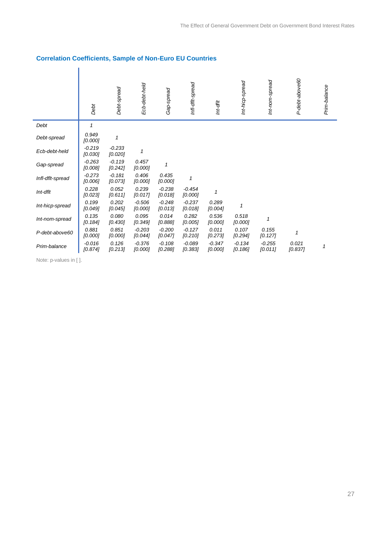# **Correlation Coefficients, Sample of Non-Euro EU Countries**

|                  | Debt                | Debt-spread           | Ecb-debt-held       | Gap-spread          | Infl-dflt-spread    | Int-dflt            | Int-hicp-spread     | Int-nom-spread      | P-debt-above60   | Prim-balance |
|------------------|---------------------|-----------------------|---------------------|---------------------|---------------------|---------------------|---------------------|---------------------|------------------|--------------|
| Debt             | $\mathbf{1}$        |                       |                     |                     |                     |                     |                     |                     |                  |              |
| Debt-spread      | 0.949<br>[0.000]    | 1                     |                     |                     |                     |                     |                     |                     |                  |              |
| Ecb-debt-held    | $-0.219$<br>[0.030] | $-0.233$<br>[0.020]   | 1                   |                     |                     |                     |                     |                     |                  |              |
| Gap-spread       | $-0.263$<br>[0.008] | $-0.119$<br>$[0.242]$ | 0.457<br>[0.000]    | 1                   |                     |                     |                     |                     |                  |              |
| Infl-dflt-spread | $-0.273$<br>[0.006] | $-0.181$<br>[0.073]   | 0.406<br>[0.000]    | 0.435<br>[0.000]    |                     |                     |                     |                     |                  |              |
| Int-dflt         | 0.228<br>[0.023]    | 0.052<br>[0.611]      | 0.239<br>[0.017]    | $-0.238$<br>[0.018] | $-0.454$<br>[0.000] | 1                   |                     |                     |                  |              |
| Int-hicp-spread  | 0.199<br>[0.049]    | 0.202<br>[0.045]      | $-0.506$<br>[0.000] | $-0.248$<br>[0.013] | $-0.237$<br>[0.018] | 0.289<br>[0.004]    | 1                   |                     |                  |              |
| Int-nom-spread   | 0.135<br>[0.184]    | 0.080<br>[0.430]      | 0.095<br>[0.349]    | 0.014<br>[0.888]    | 0.282<br>[0.005]    | 0.536<br>[0.000]    | 0.518<br>[0.000]    | 1                   |                  |              |
| P-debt-above60   | 0.881<br>[0.000]    | 0.851<br>[0.000]      | $-0.203$<br>[0.044] | $-0.200$<br>[0.047] | $-0.127$<br>[0.210] | 0.011<br>[0.273]    | 0.107<br>[0.294]    | 0.155<br>[0.127]    | $\mathbf{1}$     |              |
| Prim-balance     | $-0.016$<br>[0.874] | 0.126<br>[0.213]      | $-0.376$<br>[0.000] | $-0.108$<br>[0.288] | $-0.089$<br>[0.383] | $-0.347$<br>[0.000] | $-0.134$<br>[0.186] | $-0.255$<br>[0.011] | 0.021<br>[0.837] | 1            |

Note: p-values in [ ].